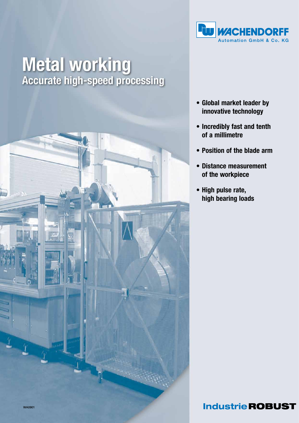

# **Metal working**<br>Accurate high-speed processing



- • Global market leader by innovative technology
- • Incredibly fast and tenth of a millimetre
- • Position of the blade arm
- • Distance measurement of the workpiece
- High pulse rate, high bearing loads

## **Industrie ROBUST**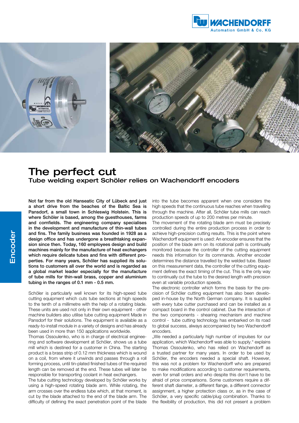



### The perfect cut Tube welding expert Schöler relies on Wachendorff encoders

Not far from the old Hanseatic City of Lübeck and just a short drive from the beaches of the Baltic Sea is Pansdorf, a small town in Schleswig Holstein. This is where Schöler is based, among the guesthouses, farms and cornfields. The engineering company specialises in the development and manufacture of thin-wall tubes and fins. The family business was founded in 1928 as a design office and has undergone a breathtaking expansion since then. Today, 160 employees design and build machines mainly for the manufacture of heat exchangers which require delicate tubes and fins with different properties. For many years, Schöler has supplied its solutions to customers all over the world and is regarded as a global market leader especially for the manufacture of tube mills for thin-wall brass, copper and aluminium tubing in the ranges of 0.1 mm - 0.5 mm.

Schöler is particularly well known for its high-speed tube cutting equipment which cuts tube sections at high speeds to the tenth of a millimetre with the help of a rotating blade. These units are used not only in their own equipment - other machine builders also utilise tube cutting equipment Made in Pansdorf for their solutions. The equipment is available as a ready-to-install module in a variety of designs and has already been used in more than 150 applications worldwide.

Thomas Ossoulenko, who is in charge of electrical engineering and software development at Schöler, shows us a tube mill which is destined for a customer in China. The starting product is a brass strip of 0.12 mm thickness which is wound on a coil, from where it unwinds and passes through a roll forming process, until tin-plated finished tubes of the required length can be removed at the end. These tubes will later be responsible for transporting coolant in heat exchangers.

The tube cutting technology developed by Schöler works by using a high-speed rotating blade arm. While rotating, the arm crosses over the endless tube which, at that moment, is cut by the blade attached to the end of the blade arm. The difficulty of defining the exact penetration point of the blade into the tube becomes apparent when one considers the high speeds that the continuous tube reaches when travelling through the machine. After all, Schöler tube mills can reach production speeds of up to 200 metres per minute.

The movement of the rotating blade arm must be precisely controlled during the entire production process in order to achieve high-precision cutting results. This is the point where Wachendorff equipment is used: An encoder ensures that the position of the blade arm on its rotational path is continually monitored because the controller of the cutting equipment needs this information for its commands. Another encoder determines the distance travelled by the welded tube. Based on this measurement data, the controller of the cutting equipment defines the exact timing of the cut. This is the only way to continually cut the tube to the desired length with precision even at variable production speeds.

The electronic controller which forms the basis for the precision of Schöler cutting equipment has also been developed in-house by the North German company. It is supplied with every tube cutter purchased and can be installed as a compact board in the control cabinet. Due the interaction of the two components - shearing mechanism and machine control - tube cutting technology has embarked on its road to global success, always accompanied by two Wachendorff encoders.

"We needed a particularly high number of impulses for our application, which Wachendorff was able to supply." explains Thomas Ossoulenko, who has relied on Wachendorff as a trusted partner for many years. In order to be used by Schöler, the encoders needed a special shaft. However, this was not a problem for Wachendorff who are prepared to make modifications according to customer requirements, even for small orders and who despite this don't have to be afraid of price comparisons. Some customers require a different shaft diameter, a different flange, a different connector assignment, a higher protection class or, as in the case of Schöler, a very specific cable/plug combination. Thanks to the flexibility of production, this did not present a problem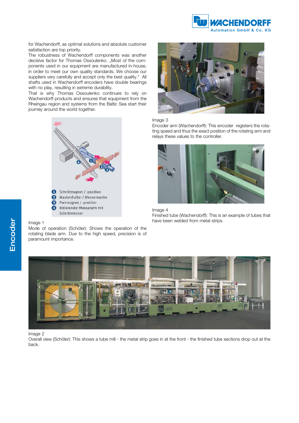

for Wachendorff, as optimal solutions and absolute customer satisfaction are top priority.

The robustness of Wachendorff components was another decisive factor for Thomas Ossoulenko. "Most of the components used in our equipment are manufactured in-house, in order to meet our own quality standards. We choose our suppliers very carefully and accept only the best quality." All shafts used in Wachendorff encoders have double bearings with no play, resulting in extreme durability.

That is why Thomas Ossoulenko continues to rely on Wachendorff products and ensures that equipment from the Rheingau region and systems from the Baltic Sea start their journey around the world together.





Mode of operation (Schöler): Shows the operation of the rotating blade arm. Due to the high speed, precision is of paramount importance.



#### Image 3

Encoder arm (Wachendorff): This encoder registers the rotating speed and thus the exact position of the rotating arm and relays these values to the controller.



Image 4

Finished tube (Wachendorff): This is an example of tubes that have been welded from metal strips.



#### Image 2

Overall view (Schöler): This shows a tube mill - the metal strip goes in at the front - the finished tube sections drop out at the back.